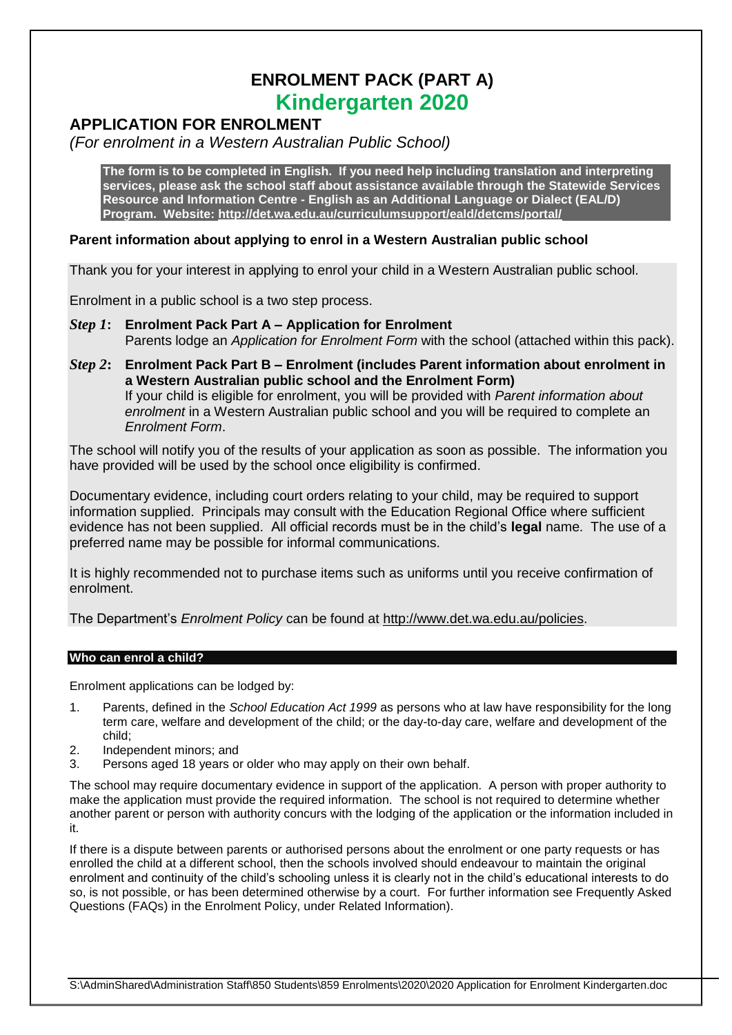# **ENROLMENT PACK (PART A) Kindergarten 2020**

## **APPLICATION FOR ENROLMENT**

*(For enrolment in a Western Australian Public School)*

**The form is to be completed in English. If you need help including translation and interpreting services, please ask the school staff about assistance available through the Statewide Services Resource and Information Centre - English as an Additional Language or Dialect (EAL/D) Program. Website:<http://det.wa.edu.au/curriculumsupport/eald/detcms/portal/>**

## **Parent information about applying to enrol in a Western Australian public school**

Thank you for your interest in applying to enrol your child in a Western Australian public school.

Enrolment in a public school is a two step process.

- *Step 1***: Enrolment Pack Part A – Application for Enrolment** Parents lodge an *Application for Enrolment Form* with the school (attached within this pack).
- *Step 2***: Enrolment Pack Part B – Enrolment (includes Parent information about enrolment in a Western Australian public school and the Enrolment Form)** If your child is eligible for enrolment, you will be provided with *Parent information about enrolment* in a Western Australian public school and you will be required to complete an *Enrolment Form*.

The school will notify you of the results of your application as soon as possible. The information you have provided will be used by the school once eligibility is confirmed.

Documentary evidence, including court orders relating to your child, may be required to support information supplied. Principals may consult with the Education Regional Office where sufficient evidence has not been supplied. All official records must be in the child's **legal** name. The use of a preferred name may be possible for informal communications.

It is highly recommended not to purchase items such as uniforms until you receive confirmation of enrolment.

The Department's *Enrolment Policy* can be found at [http://www.det.wa.edu.au/policies.](http://www.det.wa.edu.au/policies)

### **Who can enrol a child?**

Enrolment applications can be lodged by:

- 1. Parents, defined in the *School Education Act 1999* as persons who at law have responsibility for the long term care, welfare and development of the child; or the day-to-day care, welfare and development of the child;
- 2. Independent minors; and
- 3. Persons aged 18 years or older who may apply on their own behalf.

The school may require documentary evidence in support of the application. A person with proper authority to make the application must provide the required information. The school is not required to determine whether another parent or person with authority concurs with the lodging of the application or the information included in it.

If there is a dispute between parents or authorised persons about the enrolment or one party requests or has enrolled the child at a different school, then the schools involved should endeavour to maintain the original enrolment and continuity of the child's schooling unless it is clearly not in the child's educational interests to do so, is not possible, or has been determined otherwise by a court. For further information see Frequently Asked Questions (FAQs) in the Enrolment Policy, under Related Information).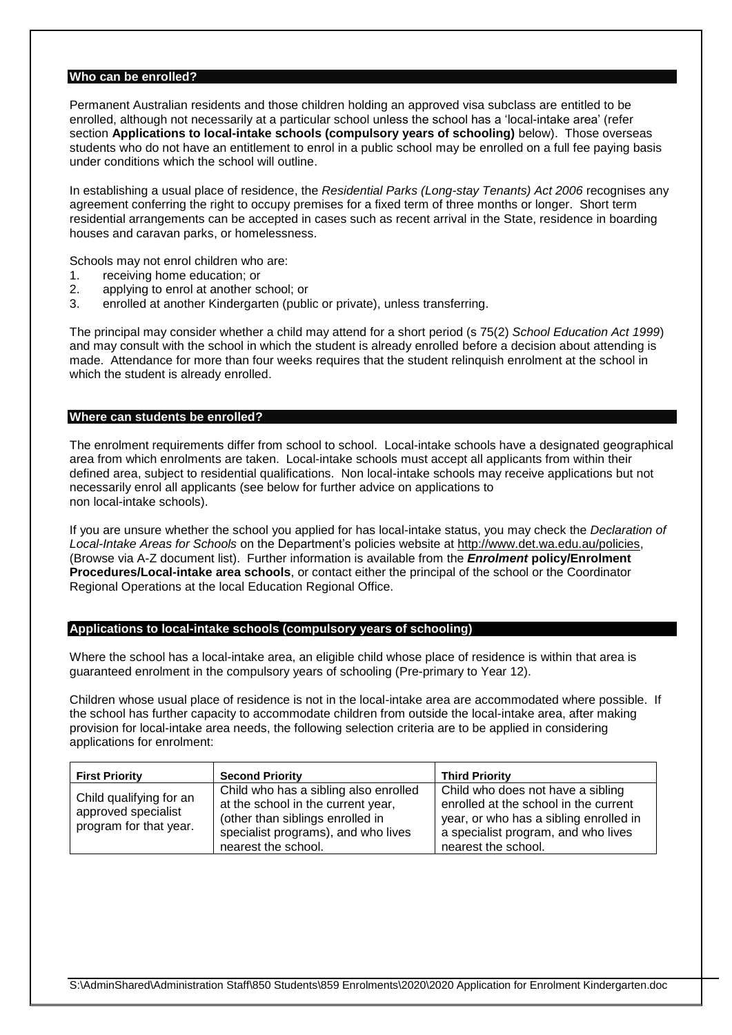#### **Who can be enrolled?**

Permanent Australian residents and those children holding an approved visa subclass are entitled to be enrolled, although not necessarily at a particular school unless the school has a 'local-intake area' (refer section **Applications to local-intake schools (compulsory years of schooling)** below). Those overseas students who do not have an entitlement to enrol in a public school may be enrolled on a full fee paying basis under conditions which the school will outline.

In establishing a usual place of residence, the *Residential Parks (Long-stay Tenants) Act 2006* recognises any agreement conferring the right to occupy premises for a fixed term of three months or longer. Short term residential arrangements can be accepted in cases such as recent arrival in the State, residence in boarding houses and caravan parks, or homelessness.

Schools may not enrol children who are:

- 1. receiving home education; or
- 2. applying to enrol at another school; or
- 3. enrolled at another Kindergarten (public or private), unless transferring.

The principal may consider whether a child may attend for a short period (s 75(2) *School Education Act 1999*) and may consult with the school in which the student is already enrolled before a decision about attending is made. Attendance for more than four weeks requires that the student relinquish enrolment at the school in which the student is already enrolled.

#### **Where can students be enrolled?**

The enrolment requirements differ from school to school. Local-intake schools have a designated geographical area from which enrolments are taken. Local-intake schools must accept all applicants from within their defined area, subject to residential qualifications. Non local-intake schools may receive applications but not necessarily enrol all applicants (see below for further advice on applications to non local-intake schools).

If you are unsure whether the school you applied for has local-intake status, you may check the *Declaration of Local-Intake Areas for Schools* on the Department's policies website at [http://www.det.wa.edu.au/policies,](http://www.det.wa.edu.au/policies) (Browse via A-Z document list). Further information is available from the *Enrolment* **policy/Enrolment Procedures/Local-intake area schools**, or contact either the principal of the school or the Coordinator Regional Operations at the local Education Regional Office.

#### **Applications to local-intake schools (compulsory years of schooling)**

Where the school has a local-intake area, an eligible child whose place of residence is within that area is guaranteed enrolment in the compulsory years of schooling (Pre-primary to Year 12).

Children whose usual place of residence is not in the local-intake area are accommodated where possible. If the school has further capacity to accommodate children from outside the local-intake area, after making provision for local-intake area needs, the following selection criteria are to be applied in considering applications for enrolment:

| <b>First Priority</b>                         | <b>Second Priority</b>                                                      | <b>Third Priority</b>                                                         |
|-----------------------------------------------|-----------------------------------------------------------------------------|-------------------------------------------------------------------------------|
| Child qualifying for an                       | Child who has a sibling also enrolled<br>at the school in the current year, | Child who does not have a sibling<br>enrolled at the school in the current    |
| approved specialist<br>program for that year. | (other than siblings enrolled in<br>specialist programs), and who lives     | year, or who has a sibling enrolled in<br>a specialist program, and who lives |
|                                               | nearest the school.                                                         | nearest the school.                                                           |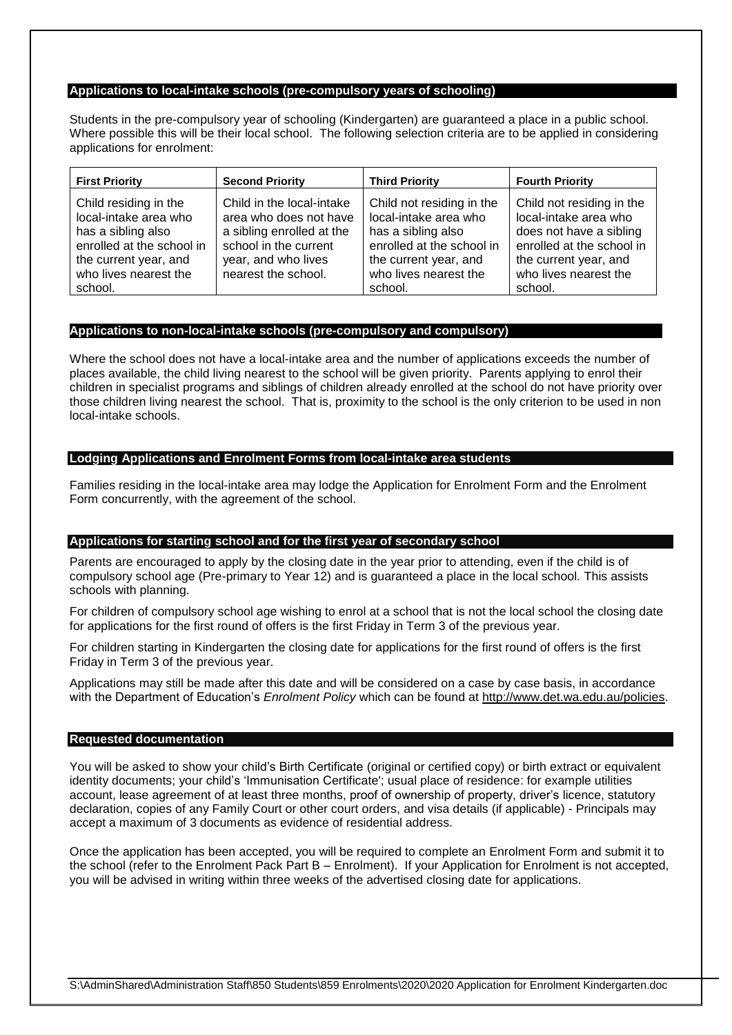#### **Applications to local-intake schools (pre-compulsory years of schooling)**

Students in the pre-compulsory year of schooling (Kindergarten) are guaranteed a place in a public school. Where possible this will be their local school. The following selection criteria are to be applied in considering applications for enrolment:

| <b>First Priority</b>                                                                                                                                          | <b>Second Priority</b>                                                                                                                                  | <b>Third Priority</b>                                                                                                                                              | <b>Fourth Priority</b>                                                                                                                                                  |
|----------------------------------------------------------------------------------------------------------------------------------------------------------------|---------------------------------------------------------------------------------------------------------------------------------------------------------|--------------------------------------------------------------------------------------------------------------------------------------------------------------------|-------------------------------------------------------------------------------------------------------------------------------------------------------------------------|
| Child residing in the<br>local-intake area who<br>has a sibling also<br>enrolled at the school in<br>the current year, and<br>who lives nearest the<br>school. | Child in the local-intake<br>area who does not have<br>a sibling enrolled at the<br>school in the current<br>year, and who lives<br>nearest the school. | Child not residing in the<br>local-intake area who<br>has a sibling also<br>enrolled at the school in<br>the current year, and<br>who lives nearest the<br>school. | Child not residing in the<br>local-intake area who<br>does not have a sibling<br>enrolled at the school in<br>the current year, and<br>who lives nearest the<br>school. |

#### **Applications to non-local-intake schools (pre-compulsory and compulsory)**

Where the school does not have a local-intake area and the number of applications exceeds the number of places available, the child living nearest to the school will be given priority. Parents applying to enrol their children in specialist programs and siblings of children already enrolled at the school do not have priority over those children living nearest the school. That is, proximity to the school is the only criterion to be used in non local-intake schools.

#### **Lodging Applications and Enrolment Forms from local-intake area students**

Families residing in the local-intake area may lodge the Application for Enrolment Form and the Enrolment Form concurrently, with the agreement of the school.

#### **Applications for starting school and for the first year of secondary school**

Parents are encouraged to apply by the closing date in the year prior to attending, even if the child is of compulsory school age (Pre-primary to Year 12) and is guaranteed a place in the local school. This assists schools with planning.

For children of compulsory school age wishing to enrol at a school that is not the local school the closing date for applications for the first round of offers is the first Friday in Term 3 of the previous year.

For children starting in Kindergarten the closing date for applications for the first round of offers is the first Friday in Term 3 of the previous year.

Applications may still be made after this date and will be considered on a case by case basis, in accordance with the Department of Education's *Enrolment Policy* which can be found at [http://www.det.wa.edu.au/policies.](http://www.det.wa.edu.au/policies)

#### **Requested documentation**

You will be asked to show your child's Birth Certificate (original or certified copy) or birth extract or equivalent identity documents; your child's 'Immunisation Certificate'; usual place of residence: for example utilities account, lease agreement of at least three months, proof of ownership of property, driver's licence, statutory declaration, copies of any Family Court or other court orders, and visa details (if applicable) - Principals may accept a maximum of 3 documents as evidence of residential address.

Once the application has been accepted, you will be required to complete an Enrolment Form and submit it to the school (refer to the Enrolment Pack Part B – Enrolment). If your Application for Enrolment is not accepted, you will be advised in writing within three weeks of the advertised closing date for applications.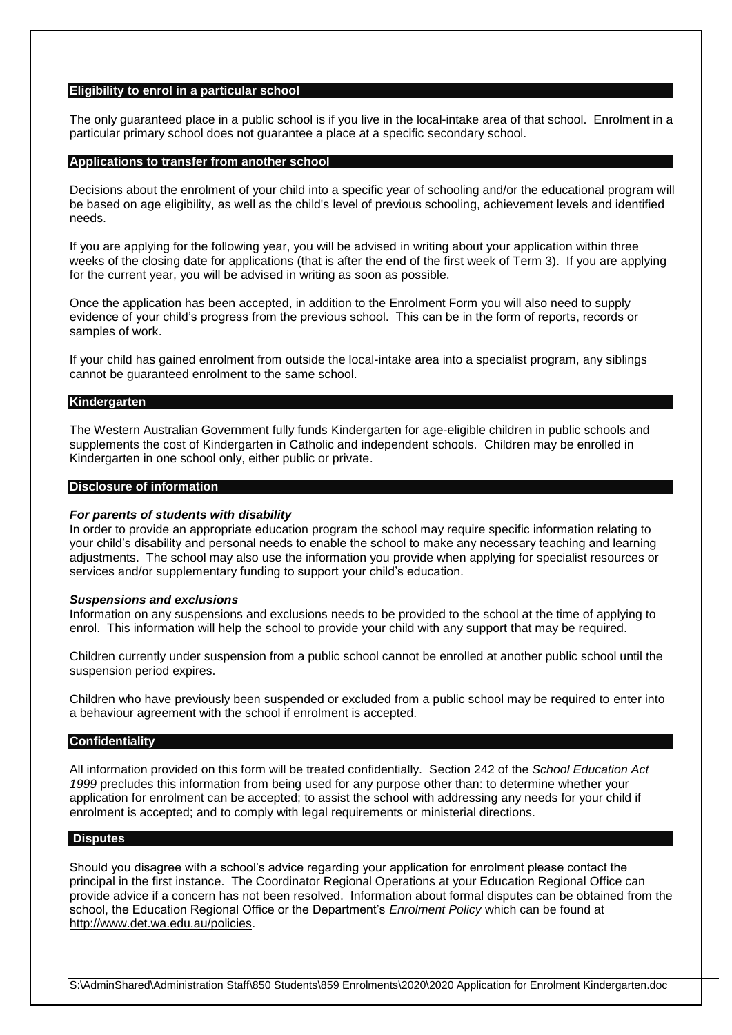#### **Eligibility to enrol in a particular school**

The only guaranteed place in a public school is if you live in the local-intake area of that school. Enrolment in a particular primary school does not guarantee a place at a specific secondary school.

#### **Applications to transfer from another school**

Decisions about the enrolment of your child into a specific year of schooling and/or the educational program will be based on age eligibility, as well as the child's level of previous schooling, achievement levels and identified needs.

If you are applying for the following year, you will be advised in writing about your application within three weeks of the closing date for applications (that is after the end of the first week of Term 3). If you are applying for the current year, you will be advised in writing as soon as possible.

Once the application has been accepted, in addition to the Enrolment Form you will also need to supply evidence of your child's progress from the previous school. This can be in the form of reports, records or samples of work.

If your child has gained enrolment from outside the local-intake area into a specialist program, any siblings cannot be guaranteed enrolment to the same school.

#### **Kindergarten**

The Western Australian Government fully funds Kindergarten for age-eligible children in public schools and supplements the cost of Kindergarten in Catholic and independent schools. Children may be enrolled in Kindergarten in one school only, either public or private.

#### **Disclosure of information**

#### *For parents of students with disability*

In order to provide an appropriate education program the school may require specific information relating to your child's disability and personal needs to enable the school to make any necessary teaching and learning adjustments. The school may also use the information you provide when applying for specialist resources or services and/or supplementary funding to support your child's education.

#### *Suspensions and exclusions*

Information on any suspensions and exclusions needs to be provided to the school at the time of applying to enrol. This information will help the school to provide your child with any support that may be required.

Children currently under suspension from a public school cannot be enrolled at another public school until the suspension period expires.

Children who have previously been suspended or excluded from a public school may be required to enter into a behaviour agreement with the school if enrolment is accepted.

#### **Confidentiality**

All information provided on this form will be treated confidentially. Section 242 of the *School Education Act 1999* precludes this information from being used for any purpose other than: to determine whether your application for enrolment can be accepted; to assist the school with addressing any needs for your child if enrolment is accepted; and to comply with legal requirements or ministerial directions.

#### **Disputes**

Should you disagree with a school's advice regarding your application for enrolment please contact the principal in the first instance. The Coordinator Regional Operations at your Education Regional Office can provide advice if a concern has not been resolved. Information about formal disputes can be obtained from the school, the Education Regional Office or the Department's *Enrolment Policy* which can be found at [http://www.det.wa.edu.au/policies.](http://www.det.wa.edu.au/policies)

S:\AdminShared\Administration Staff\850 Students\859 Enrolments\2020\2020 Application for Enrolment Kindergarten.doc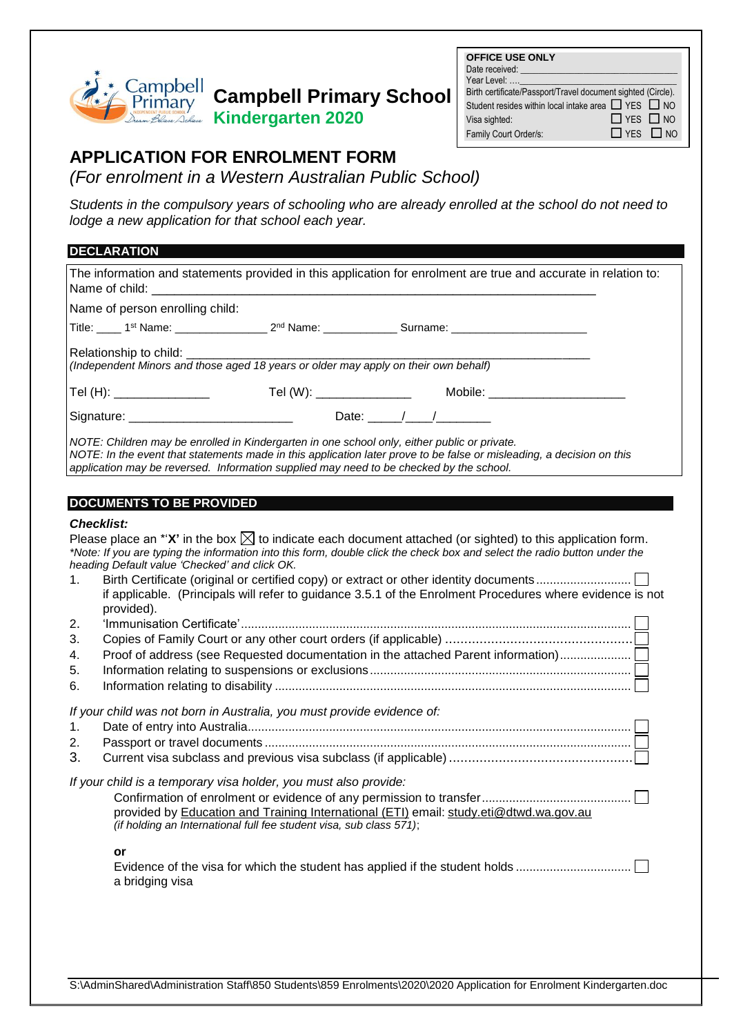

# **Campbell Primary School**

**Kindergarten 2020**

| $\Box$ YES $\Box$ NO |                                                                                                                               |
|----------------------|-------------------------------------------------------------------------------------------------------------------------------|
| $\Box$ YES $\Box$ NO |                                                                                                                               |
|                      | Birth certificate/Passport/Travel document sighted (Circle).<br>Student resides within local intake area $\Box$ YES $\Box$ NO |

# **APPLICATION FOR ENROLMENT FORM**

*(For enrolment in a Western Australian Public School)* 1 **APPLICATION:** 

**Students in the compulsory years of schooling who are already enrolled at the school do not need to** *lodge a new application for that school each year.*

## **DECLARATION**

| <b>DECLARATION</b> |                                                                                                                                                                                                                                    |                                                          |                                                                                                                                                                                                                                                                                                                                                                    |
|--------------------|------------------------------------------------------------------------------------------------------------------------------------------------------------------------------------------------------------------------------------|----------------------------------------------------------|--------------------------------------------------------------------------------------------------------------------------------------------------------------------------------------------------------------------------------------------------------------------------------------------------------------------------------------------------------------------|
| Name of child:     |                                                                                                                                                                                                                                    | <u> 1989 - Jan Barbara, martxa al III-lea (h. 1989).</u> | The information and statements provided in this application for enrolment are true and accurate in relation to:                                                                                                                                                                                                                                                    |
|                    | Name of person enrolling child:                                                                                                                                                                                                    |                                                          |                                                                                                                                                                                                                                                                                                                                                                    |
|                    |                                                                                                                                                                                                                                    |                                                          | Title: _____1 <sup>st</sup> Name: _________________2 <sup>nd</sup> Name: _____________Surname: ____________________                                                                                                                                                                                                                                                |
|                    | Relationship to child: __________<br>השווט וא קווואס (Independent Minors and those aged 18 years or older may apply on their own behalf)<br>או (Independent Minors and those aged 18 years or older may apply on their own behalf) |                                                          |                                                                                                                                                                                                                                                                                                                                                                    |
|                    | Tel (H): ________________                                                                                                                                                                                                          |                                                          | Tel (W): __________________   Mobile: __________________                                                                                                                                                                                                                                                                                                           |
|                    |                                                                                                                                                                                                                                    |                                                          |                                                                                                                                                                                                                                                                                                                                                                    |
|                    | NOTE: Children may be enrolled in Kindergarten in one school only, either public or private.<br>application may be reversed. Information supplied may need to be checked by the school.                                            |                                                          | NOTE: In the event that statements made in this application later prove to be false or misleading, a decision on this                                                                                                                                                                                                                                              |
|                    | <b>DOCUMENTS TO BE PROVIDED</b>                                                                                                                                                                                                    |                                                          |                                                                                                                                                                                                                                                                                                                                                                    |
| <b>Checklist:</b>  |                                                                                                                                                                                                                                    |                                                          |                                                                                                                                                                                                                                                                                                                                                                    |
| 1.                 | heading Default value 'Checked' and click OK.                                                                                                                                                                                      |                                                          | Please place an *' $X'$ in the box $\boxtimes$ to indicate each document attached (or sighted) to this application form.<br>*Note: If you are typing the information into this form, double click the check box and select the radio button under the<br>if applicable. (Principals will refer to guidance 3.5.1 of the Enrolment Procedures where evidence is not |
| 2.<br>3.           | provided).                                                                                                                                                                                                                         |                                                          |                                                                                                                                                                                                                                                                                                                                                                    |
| 4.                 |                                                                                                                                                                                                                                    |                                                          | Proof of address (see Requested documentation in the attached Parent information)                                                                                                                                                                                                                                                                                  |
| 5.                 |                                                                                                                                                                                                                                    |                                                          |                                                                                                                                                                                                                                                                                                                                                                    |
| 6.                 |                                                                                                                                                                                                                                    |                                                          |                                                                                                                                                                                                                                                                                                                                                                    |
| 1.<br>2.<br>3.     | If your child was not born in Australia, you must provide evidence of:                                                                                                                                                             |                                                          |                                                                                                                                                                                                                                                                                                                                                                    |
|                    | If your child is a temporary visa holder, you must also provide:<br>(if holding an International full fee student visa, sub class 571);                                                                                            |                                                          | provided by Education and Training International (ETI) email: study.eti@dtwd.wa.gov.au                                                                                                                                                                                                                                                                             |
| or                 | a bridging visa                                                                                                                                                                                                                    |                                                          | Evidence of the visa for which the student has applied if the student holds                                                                                                                                                                                                                                                                                        |
|                    |                                                                                                                                                                                                                                    |                                                          |                                                                                                                                                                                                                                                                                                                                                                    |

S:\AdminShared\Administration Staff\850 Students\859 Enrolments\2020\2020 Application for Enrolment Kindergarten.doc